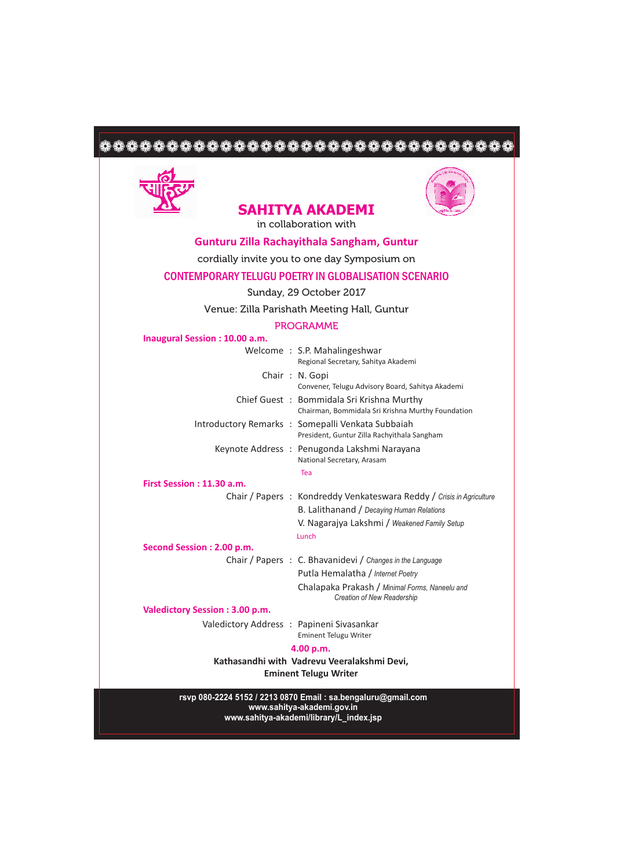# 



# **SAHITYA AKADEMI**



in collaboration with

### **Gunturu Zilla Rachayithala Sangham, Guntur**

cordially invite you to one day Symposium on

### CONTEMPORARY TELUGU POETRY IN GLOBALISATION SCENARIO

Sunday, 29 October 2017

Venue: Zilla Parishath Meeting Hall, Guntur

### PROGRAMME

#### **Inaugural Session : 10.00 a.m.**

|                                          | Welcome: S.P. Mahalingeshwar<br>Regional Secretary, Sahitya Akademi                             |
|------------------------------------------|-------------------------------------------------------------------------------------------------|
|                                          | Chair: N. Gopi<br>Convener, Telugu Advisory Board, Sahitya Akademi                              |
|                                          | Chief Guest: Bommidala Sri Krishna Murthy<br>Chairman, Bommidala Sri Krishna Murthy Foundation  |
|                                          | Introductory Remarks: Somepalli Venkata Subbaiah<br>President, Guntur Zilla Rachyithala Sangham |
|                                          | Keynote Address : Penugonda Lakshmi Narayana<br>National Secretary, Arasam                      |
|                                          | Tea                                                                                             |
| First Session: 11.30 a.m.                |                                                                                                 |
|                                          | Chair / Papers : Kondreddy Venkateswara Reddy / Crisis in Agriculture                           |
|                                          | B. Lalithanand / Decaying Human Relations                                                       |
|                                          | V. Nagarajya Lakshmi / Weakened Family Setup                                                    |
|                                          | Lunch                                                                                           |
| Second Session: 2.00 p.m.                |                                                                                                 |
|                                          | Chair / Papers : C. Bhavanidevi / Changes in the Language                                       |
|                                          | Putla Hemalatha / Internet Poetry                                                               |
|                                          | Chalapaka Prakash / Minimal Forms, Naneelu and<br><b>Creation of New Readership</b>             |
| Valedictory Session: 3.00 p.m.           |                                                                                                 |
| Valedictory Address: Papineni Sivasankar | Eminent Telugu Writer                                                                           |

### **4.00 p.m.**

**Kathasandhi with Vadrevu Veeralakshmi Devi, Eminent Telugu Writer**

**rsvp 080-2224 5152 / 2213 0870 Email : sa.bengaluru@gmail.com www.sahitya-akademi.gov.in www.sahitya-akademi/library/L\_index.jsp**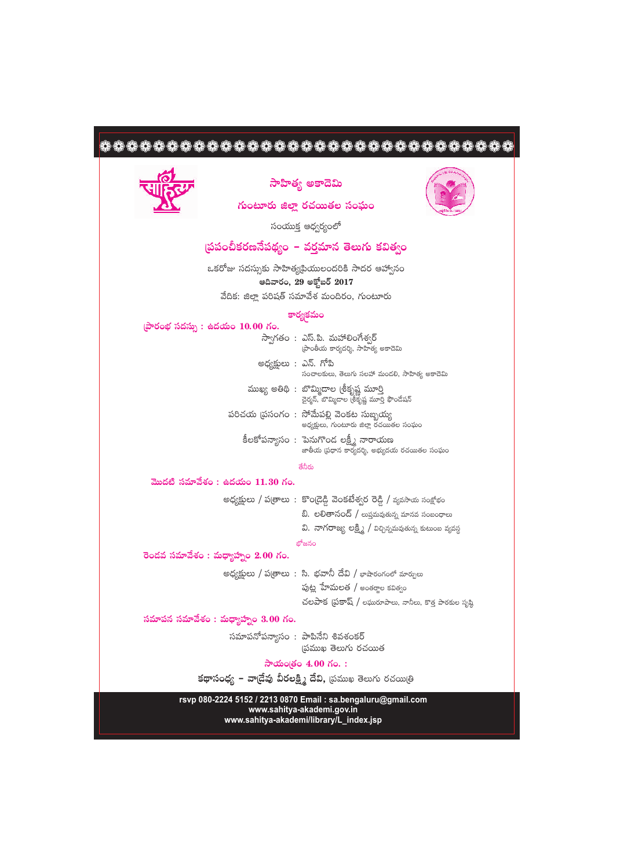# 



## సాహిత్య అకాదెమి



గుంటూరు జిల్లా రచయితల సంఘం సంయుక్త ఆధ్వర్యంలో

### (పపంచీకరణనేపథ్యం – వర్తమాన తెలుగు కవిత్వం

ఒకరోజు సదస్సుకు సాహిత్య[పియులందరికి సాదర ఆహ్వానం అదివారం, 29 అక్టోబర్ 2017 వేదిక: జిల్లా పరిషత్ సమావేశ మందిరం, గుంటూరు

#### కార్యకమం

### $\beta$ రంభ సదస్సు: ఉదయం 10.00 గం.

స్వాగతం: ఎస్.పి. మహాలింగేశ్వర్ (పాంతీయ కార్యదర్శి, సాహిత్య అకాదెమి అధ్యక్షులు : ఎస్. గోపి సంచాలకులు, తెలుగు సలహా మండలి, సాహిత్య అకాదెమి

ముఖ్య అతిథి: బొమ్మిదాల (శీకృష్ణ మూర్తి చైర్మన్, బొమ్మిదాల (శీకృష్ణ మూర్తి ఫౌందేషన్

పరిచయ (పసంగం: సోమేపల్లి వెంకట సుబ్బయ్య అధ్యక్షులు, గుంటూరు జిల్లా రచయితల సంఘం

కీలకోపన్యాసం: పెనుగొండ లక్ష్మీ నారాయణ జాతీయ (పధాన కార్యదర్శి, అభ్యుదయ రచయితల సంఘం

#### శేవీరు

## మొదటి సమావేశం : ఉదయం  $11.30$  గం.

అధ్యక్షులు / ప(తాలు : కొండ్రెడ్డి వెంకటేశ్వర రెడ్డి / వ్యవసాయ సంక్షోభం బి. లలితానంద్ / లుష్తమవుతున్న మానవ సంబంధాలు వి. నాగరాజ్య లక్ష్మి / విచ్చిన్నమవుతున్న కుటుంబ వ్యవస్థ బోజనం

రెండవ సమావేశం : మధ్యాహ్నం 2.00 గం. అధ్యక్షులు / ప(తాలు : సి. భవానీ దేవి / ఖాషారంగంలో మార్పులు

పుట్ల హేమలత / అంతర్జాల కవిత్వం చలపాక (పకాష్ / లఘురూపాలు, నానీలు, కొత్త పాఠకుల సృష్ఠి

సమాపన సమావేశం : మధ్యాహ్నం  $3.00$  గం.

సమాపనోపన్యాసం: పాపినేని శివశంకర్ స్టముఖ తెలుగు రచయిత

సాయంత్రం 4.00 గం.:

కథాసంధ్య – వాడ్రేవు వీరలక్ష్మి దేవి, (పముఖ తెలుగు రచయిత్రి

rsvp 080-2224 5152 / 2213 0870 Email : sa.bengaluru@gmail.com www.sahitya-akademi.gov.in www.sahitya-akademi/library/L\_index.jsp